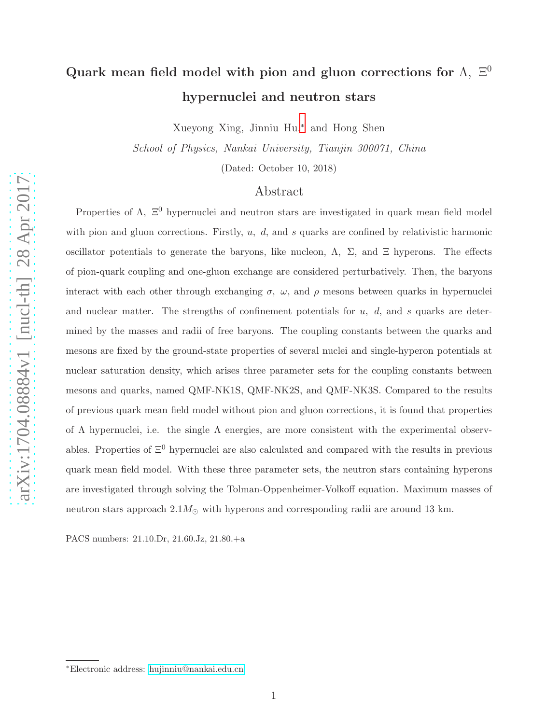# Quark mean field model with pion and gluon corrections for  $\Lambda$ ,  $\Xi^0$ hypernuclei and neutron stars

Xueyong Xing, Jinniu Hu,[∗](#page-0-0) and Hong Shen

School of Physics, Nankai University, Tianjin 300071, China

(Dated: October 10, 2018)

### Abstract

Properties of  $\Lambda$ ,  $\Xi^0$  hypernuclei and neutron stars are investigated in quark mean field model with pion and gluon corrections. Firstly,  $u$ ,  $d$ , and  $s$  quarks are confined by relativistic harmonic oscillator potentials to generate the baryons, like nucleon,  $\Lambda$ ,  $\Sigma$ , and  $\Xi$  hyperons. The effects of pion-quark coupling and one-gluon exchange are considered perturbatively. Then, the baryons interact with each other through exchanging  $\sigma$ ,  $\omega$ , and  $\rho$  mesons between quarks in hypernuclei and nuclear matter. The strengths of confinement potentials for  $u$ ,  $d$ , and  $s$  quarks are determined by the masses and radii of free baryons. The coupling constants between the quarks and mesons are fixed by the ground-state properties of several nuclei and single-hyperon potentials at nuclear saturation density, which arises three parameter sets for the coupling constants between mesons and quarks, named QMF-NK1S, QMF-NK2S, and QMF-NK3S. Compared to the results of previous quark mean field model without pion and gluon corrections, it is found that properties of  $\Lambda$  hypernuclei, i.e. the single  $\Lambda$  energies, are more consistent with the experimental observables. Properties of  $\Xi^0$  hypernuclei are also calculated and compared with the results in previous quark mean field model. With these three parameter sets, the neutron stars containing hyperons are investigated through solving the Tolman-Oppenheimer-Volkoff equation. Maximum masses of neutron stars approach  $2.1M_{\odot}$  with hyperons and corresponding radii are around 13 km.

PACS numbers: 21.10.Dr, 21.60.Jz, 21.80.+a

<span id="page-0-0"></span><sup>∗</sup>Electronic address: [hujinniu@nankai.edu.cn](mailto:hujinniu@nankai.edu.cn)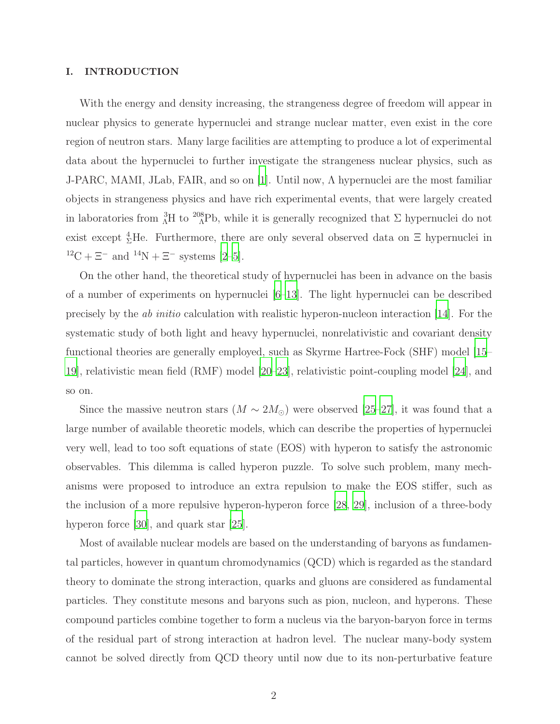#### I. INTRODUCTION

With the energy and density increasing, the strangeness degree of freedom will appear in nuclear physics to generate hypernuclei and strange nuclear matter, even exist in the core region of neutron stars. Many large facilities are attempting to produce a lot of experimental data about the hypernuclei to further investigate the strangeness nuclear physics, such as J-PARC, MAMI, JLab, FAIR, and so on [\[1](#page-21-0)]. Until now, Λ hypernuclei are the most familiar objects in strangeness physics and have rich experimental events, that were largely created in laboratories from  $^{3}_{\Lambda}H$  to  $^{208}_{\Lambda}P$ b, while it is generally recognized that  $\Sigma$  hypernuclei do not exist except  ${}^{4}_{\Sigma}$ He. Furthermore, there are only several observed data on  $\Xi$  hypernuclei in  $^{12}\mathrm{C} + \Xi^-$  and  $^{14}\mathrm{N} + \Xi^-$  systems [\[2](#page-22-0)[–5\]](#page-22-1).

On the other hand, the theoretical study of hypernuclei has been in advance on the basis of a number of experiments on hypernuclei [\[6](#page-22-2)[–13\]](#page-22-3). The light hypernuclei can be described precisely by the ab initio calculation with realistic hyperon-nucleon interaction [\[14\]](#page-22-4). For the systematic study of both light and heavy hypernuclei, nonrelativistic and covariant density functional theories are generally employed, such as Skyrme Hartree-Fock (SHF) model [\[15](#page-22-5)– [19\]](#page-22-6), relativistic mean field (RMF) model [\[20](#page-22-7)[–23\]](#page-22-8), relativistic point-coupling model [\[24](#page-22-9)], and so on.

Since the massive neutron stars  $(M \sim 2M_{\odot})$  were observed [\[25](#page-22-10)[–27\]](#page-22-11), it was found that a large number of available theoretic models, which can describe the properties of hypernuclei very well, lead to too soft equations of state (EOS) with hyperon to satisfy the astronomic observables. This dilemma is called hyperon puzzle. To solve such problem, many mechanisms were proposed to introduce an extra repulsion to make the EOS stiffer, such as the inclusion of a more repulsive hyperon-hyperon force [\[28](#page-22-12), [29\]](#page-23-0), inclusion of a three-body hyperon force [\[30](#page-23-1)], and quark star [\[25](#page-22-10)].

Most of available nuclear models are based on the understanding of baryons as fundamental particles, however in quantum chromodynamics (QCD) which is regarded as the standard theory to dominate the strong interaction, quarks and gluons are considered as fundamental particles. They constitute mesons and baryons such as pion, nucleon, and hyperons. These compound particles combine together to form a nucleus via the baryon-baryon force in terms of the residual part of strong interaction at hadron level. The nuclear many-body system cannot be solved directly from QCD theory until now due to its non-perturbative feature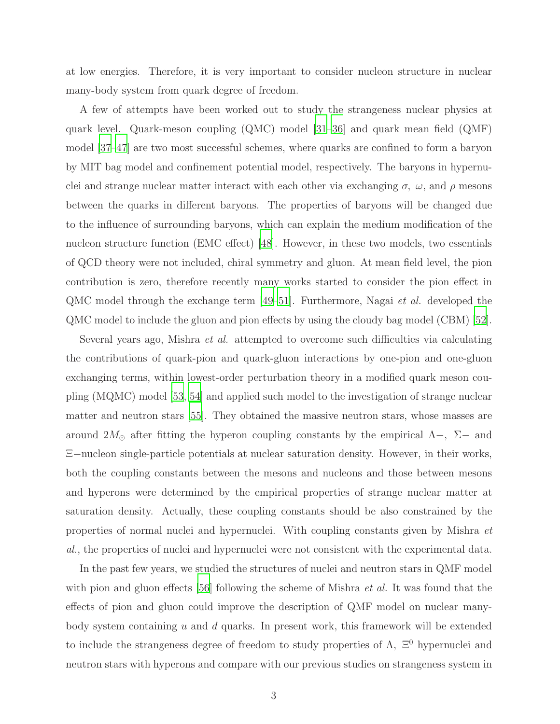at low energies. Therefore, it is very important to consider nucleon structure in nuclear many-body system from quark degree of freedom.

A few of attempts have been worked out to study the strangeness nuclear physics at quark level. Quark-meson coupling (QMC) model [\[31](#page-23-2)[–36\]](#page-23-3) and quark mean field (QMF) model [\[37](#page-23-4)[–47](#page-23-5)] are two most successful schemes, where quarks are confined to form a baryon by MIT bag model and confinement potential model, respectively. The baryons in hypernuclei and strange nuclear matter interact with each other via exchanging  $\sigma$ ,  $\omega$ , and  $\rho$  mesons between the quarks in different baryons. The properties of baryons will be changed due to the influence of surrounding baryons, which can explain the medium modification of the nucleon structure function (EMC effect) [\[48](#page-23-6)]. However, in these two models, two essentials of QCD theory were not included, chiral symmetry and gluon. At mean field level, the pion contribution is zero, therefore recently many works started to consider the pion effect in QMC model through the exchange term [\[49](#page-23-7)[–51](#page-23-8)]. Furthermore, Nagai et al. developed the QMC model to include the gluon and pion effects by using the cloudy bag model (CBM) [\[52\]](#page-24-0).

Several years ago, Mishra et al. attempted to overcome such difficulties via calculating the contributions of quark-pion and quark-gluon interactions by one-pion and one-gluon exchanging terms, within lowest-order perturbation theory in a modified quark meson coupling (MQMC) model [\[53,](#page-24-1) [54\]](#page-24-2) and applied such model to the investigation of strange nuclear matter and neutron stars [\[55](#page-24-3)]. They obtained the massive neutron stars, whose masses are around 2 $M_{\odot}$  after fitting the hyperon coupling constants by the empirical  $\Lambda$ -,  $\Sigma$ - and Ξ−nucleon single-particle potentials at nuclear saturation density. However, in their works, both the coupling constants between the mesons and nucleons and those between mesons and hyperons were determined by the empirical properties of strange nuclear matter at saturation density. Actually, these coupling constants should be also constrained by the properties of normal nuclei and hypernuclei. With coupling constants given by Mishra et al., the properties of nuclei and hypernuclei were not consistent with the experimental data.

In the past few years, we studied the structures of nuclei and neutron stars in QMF model with pion and gluon effects [\[56](#page-24-4)] following the scheme of Mishra *et al.* It was found that the effects of pion and gluon could improve the description of QMF model on nuclear manybody system containing  $u$  and  $d$  quarks. In present work, this framework will be extended to include the strangeness degree of freedom to study properties of  $\Lambda$ ,  $\Xi^0$  hypernuclei and neutron stars with hyperons and compare with our previous studies on strangeness system in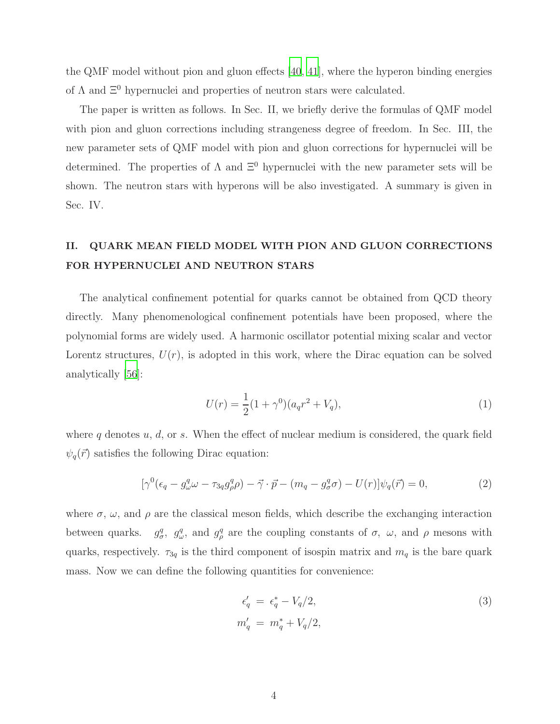the QMF model without pion and gluon effects [\[40,](#page-23-9) [41](#page-23-10)], where the hyperon binding energies of  $\Lambda$  and  $\Xi^0$  hypernuclei and properties of neutron stars were calculated.

The paper is written as follows. In Sec. II, we briefly derive the formulas of QMF model with pion and gluon corrections including strangeness degree of freedom. In Sec. III, the new parameter sets of QMF model with pion and gluon corrections for hypernuclei will be determined. The properties of  $\Lambda$  and  $\Xi^0$  hypernuclei with the new parameter sets will be shown. The neutron stars with hyperons will be also investigated. A summary is given in Sec. IV.

## II. QUARK MEAN FIELD MODEL WITH PION AND GLUON CORRECTIONS FOR HYPERNUCLEI AND NEUTRON STARS

The analytical confinement potential for quarks cannot be obtained from QCD theory directly. Many phenomenological confinement potentials have been proposed, where the polynomial forms are widely used. A harmonic oscillator potential mixing scalar and vector Lorentz structures,  $U(r)$ , is adopted in this work, where the Dirac equation can be solved analytically [\[56\]](#page-24-4):

$$
U(r) = \frac{1}{2}(1+\gamma^0)(a_qr^2 + V_q),
$$
\n(1)

where q denotes  $u, d$ , or s. When the effect of nuclear medium is considered, the quark field  $\psi_q(\vec{r})$  satisfies the following Dirac equation:

<span id="page-3-0"></span>
$$
[\gamma^0(\epsilon_q - g_\omega^q \omega - \tau_{3q} g_\rho^q \rho) - \vec{\gamma} \cdot \vec{p} - (m_q - g_\sigma^q \sigma) - U(r)] \psi_q(\vec{r}) = 0, \tag{2}
$$

where  $\sigma$ ,  $\omega$ , and  $\rho$  are the classical meson fields, which describe the exchanging interaction between quarks.  $g^q_{\sigma}$ ,  $g^q_{\omega}$ , and  $g^q_{\rho}$  are the coupling constants of  $\sigma$ ,  $\omega$ , and  $\rho$  mesons with quarks, respectively.  $\tau_{3q}$  is the third component of isospin matrix and  $m_q$  is the bare quark mass. Now we can define the following quantities for convenience:

$$
\epsilon'_{q} = \epsilon_{q}^{*} - V_{q}/2,
$$
  
\n
$$
m'_{q} = m_{q}^{*} + V_{q}/2,
$$
\n(3)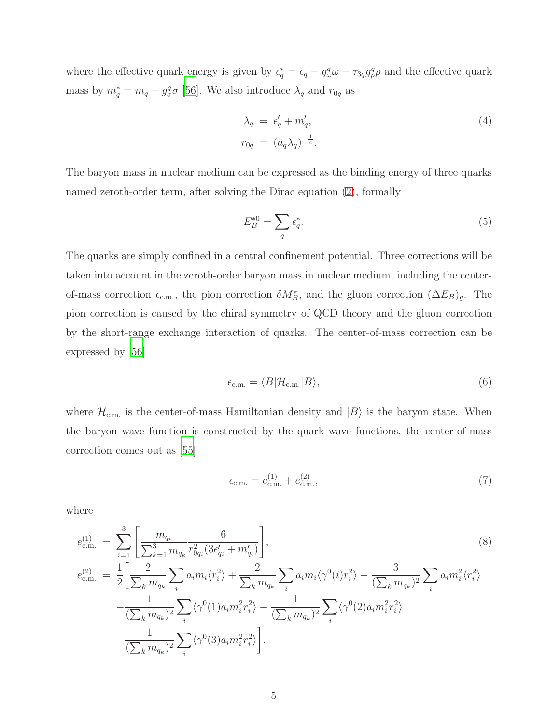where the effective quark energy is given by  $\epsilon_q^* = \epsilon_q - g_\omega^q \omega - \tau_{3q} g_\rho^q \rho$  and the effective quark mass by  $m_q^* = m_q - g^q_{\sigma} \sigma$  [\[56](#page-24-4)]. We also introduce  $\lambda_q$  and  $r_{0q}$  as

$$
\lambda_q = \epsilon'_q + m'_q,
$$
  
\n
$$
r_{0q} = (a_q \lambda_q)^{-\frac{1}{4}}.
$$
\n(4)

The baryon mass in nuclear medium can be expressed as the binding energy of three quarks named zeroth-order term, after solving the Dirac equation [\(2\)](#page-3-0), formally

$$
E_B^{*0} = \sum_q \epsilon_q^*.
$$
\n<sup>(5)</sup>

The quarks are simply confined in a central confinement potential. Three corrections will be taken into account in the zeroth-order baryon mass in nuclear medium, including the centerof-mass correction  $\epsilon_{\text{c.m.}}$ , the pion correction  $\delta M_B^{\pi}$ , and the gluon correction  $(\Delta E_B)_{g}$ . The pion correction is caused by the chiral symmetry of QCD theory and the gluon correction by the short-range exchange interaction of quarks. The center-of-mass correction can be expressed by [\[56\]](#page-24-4)

$$
\epsilon_{\text{c.m.}} = \langle B | \mathcal{H}_{\text{c.m.}} | B \rangle,\tag{6}
$$

where  $\mathcal{H}_{\text{c.m.}}$  is the center-of-mass Hamiltonian density and  $|B\rangle$  is the baryon state. When the baryon wave function is constructed by the quark wave functions, the center-of-mass correction comes out as [\[55](#page-24-3)]

$$
\epsilon_{\rm c.m.} = e_{\rm c.m.}^{(1)} + e_{\rm c.m.}^{(2)},\tag{7}
$$

where

$$
e_{\text{c.m.}}^{(1)} = \sum_{i=1}^{3} \left[ \frac{m_{q_i}}{\sum_{k=1}^{3} m_{q_k}} \frac{6}{r_{0q_i}^2 (3\epsilon'_{q_i} + m'_{q_i})} \right],
$$
\n
$$
e_{\text{c.m.}}^{(2)} = \frac{1}{2} \left[ \frac{2}{\sum_{k} m_{q_k}} \sum_{i} a_i m_i \langle r_i^2 \rangle + \frac{2}{\sum_{k} m_{q_k}} \sum_{i} a_i m_i \langle r_i^0 (i) r_i^2 \rangle - \frac{3}{(\sum_{k} m_{q_k})^2} \sum_{i} a_i m_i^2 \langle r_i^2 \rangle - \frac{1}{(\sum_{k} m_{q_k})^2} \sum_{i} \langle r_i^0 (1) a_i m_i^2 r_i^2 \rangle - \frac{1}{(\sum_{k} m_{q_k})^2} \sum_{i} \langle r_i^0 (2) a_i m_i^2 r_i^2 \rangle - \frac{1}{(\sum_{k} m_{q_k})^2} \sum_{i} \langle r_i^0 (3) a_i m_i^2 r_i^2 \rangle \right].
$$
\n(8)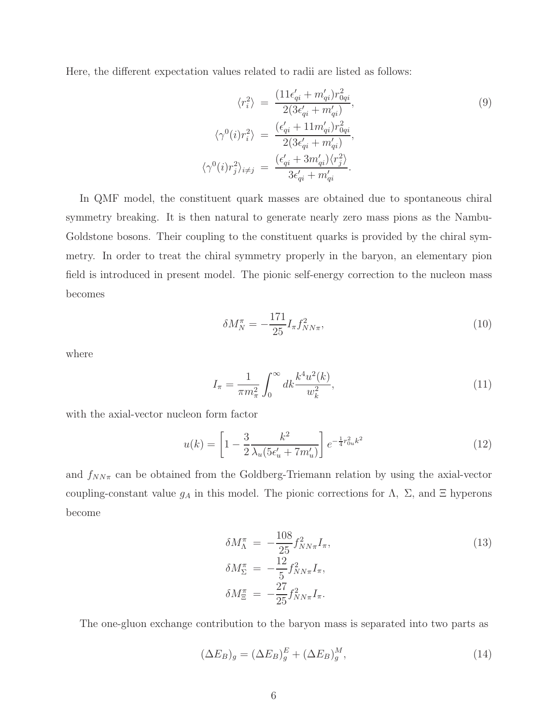Here, the different expectation values related to radii are listed as follows:

$$
\langle r_i^2 \rangle = \frac{(11\epsilon'_{qi} + m'_{qi})r_{0qi}^2}{2(3\epsilon'_{qi} + m'_{qi})},
$$
  

$$
\langle \gamma^0(i)r_i^2 \rangle = \frac{(\epsilon'_{qi} + 11m'_{qi})r_{0qi}^2}{2(3\epsilon'_{qi} + m'_{qi})},
$$
  

$$
\langle \gamma^0(i)r_j^2 \rangle_{i \neq j} = \frac{(\epsilon'_{qi} + 3m'_{qi}) \langle r_j^2 \rangle}{3\epsilon'_{qi} + m'_{qi}}.
$$
  
(9)

In QMF model, the constituent quark masses are obtained due to spontaneous chiral symmetry breaking. It is then natural to generate nearly zero mass pions as the Nambu-Goldstone bosons. Their coupling to the constituent quarks is provided by the chiral symmetry. In order to treat the chiral symmetry properly in the baryon, an elementary pion field is introduced in present model. The pionic self-energy correction to the nucleon mass becomes

$$
\delta M_N^{\pi} = -\frac{171}{25} I_{\pi} f_{NN\pi}^2,\tag{10}
$$

where

$$
I_{\pi} = \frac{1}{\pi m_{\pi}^2} \int_0^{\infty} dk \frac{k^4 u^2(k)}{w_k^2},\tag{11}
$$

with the axial-vector nucleon form factor

$$
u(k) = \left[1 - \frac{3}{2} \frac{k^2}{\lambda_u (5\epsilon_u' + 7m_u')} \right] e^{-\frac{1}{4}r_{0u}^2 k^2}
$$
 (12)

and  $f_{NN\pi}$  can be obtained from the Goldberg-Triemann relation by using the axial-vector coupling-constant value  $g_A$  in this model. The pionic corrections for  $\Lambda$ ,  $\Sigma$ , and  $\Xi$  hyperons become

$$
\delta M_{\Lambda}^{\pi} = -\frac{108}{25} f_{NN\pi}^2 I_{\pi}, \n\delta M_{\Sigma}^{\pi} = -\frac{12}{5} f_{NN\pi}^2 I_{\pi}, \n\delta M_{\Xi}^{\pi} = -\frac{27}{25} f_{NN\pi}^2 I_{\pi}.
$$
\n(13)

The one-gluon exchange contribution to the baryon mass is separated into two parts as

$$
(\Delta E_B)_g = (\Delta E_B)_g^E + (\Delta E_B)_g^M,
$$
\n(14)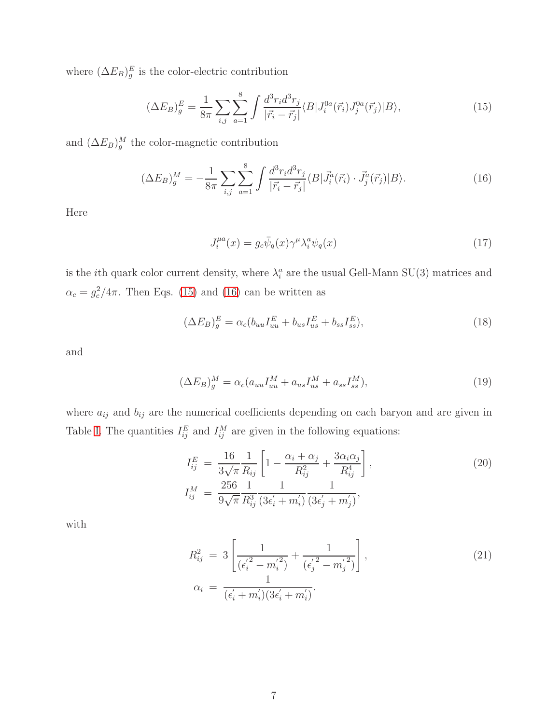where  $(\Delta E_B)^E_g$  is the color-electric contribution

<span id="page-6-0"></span>
$$
(\Delta E_B)^E_g = \frac{1}{8\pi} \sum_{i,j} \sum_{a=1}^8 \int \frac{d^3 r_i d^3 r_j}{|\vec{r_i} - \vec{r}_j|} \langle B | J_i^{0a}(\vec{r}_i) J_j^{0a}(\vec{r}_j) | B \rangle, \tag{15}
$$

and  $(\Delta E_B)^M$  the color-magnetic contribution

<span id="page-6-1"></span>
$$
(\Delta E_B)^M_g = -\frac{1}{8\pi} \sum_{i,j} \sum_{a=1}^8 \int \frac{d^3 r_i d^3 r_j}{|\vec{r_i} - \vec{r_j}|} \langle B|\vec{J}_i^a(\vec{r}_i) \cdot \vec{J}_j^a(\vec{r}_j)|B\rangle. \tag{16}
$$

Here

$$
J_i^{\mu a}(x) = g_c \bar{\psi}_q(x) \gamma^\mu \lambda_i^a \psi_q(x) \tag{17}
$$

is the *i*th quark color current density, where  $\lambda_i^a$  are the usual Gell-Mann SU(3) matrices and  $\alpha_c = g_c^2/4\pi$ . Then Eqs. [\(15\)](#page-6-0) and [\(16\)](#page-6-1) can be written as

$$
(\Delta E_B)_g^E = \alpha_c (b_{uu} I_{uu}^E + b_{us} I_{us}^E + b_{ss} I_{ss}^E), \qquad (18)
$$

and

$$
(\Delta E_B)^M_g = \alpha_c (a_{uu} I_{uu}^M + a_{us} I_{us}^M + a_{ss} I_{ss}^M), \qquad (19)
$$

where  $a_{ij}$  and  $b_{ij}$  are the numerical coefficients depending on each baryon and are given in Table [I.](#page-7-0) The quantities  $I_{ij}^E$  and  $I_{ij}^M$  are given in the following equations:

$$
I_{ij}^{E} = \frac{16}{3\sqrt{\pi}} \frac{1}{R_{ij}} \left[ 1 - \frac{\alpha_i + \alpha_j}{R_{ij}^2} + \frac{3\alpha_i \alpha_j}{R_{ij}^4} \right],
$$
  
\n
$$
I_{ij}^{M} = \frac{256}{9\sqrt{\pi}} \frac{1}{R_{ij}^3} \frac{1}{(3\epsilon'_i + m'_i)} \frac{1}{(3\epsilon'_j + m'_j)},
$$
\n(20)

with

$$
R_{ij}^2 = 3 \left[ \frac{1}{(\epsilon_i'^2 - m_i'^2)} + \frac{1}{(\epsilon_j'^2 - m_j'^2)} \right],
$$
  
\n
$$
\alpha_i = \frac{1}{(\epsilon_i' + m_i')(3\epsilon_i' + m_i')}.
$$
\n(21)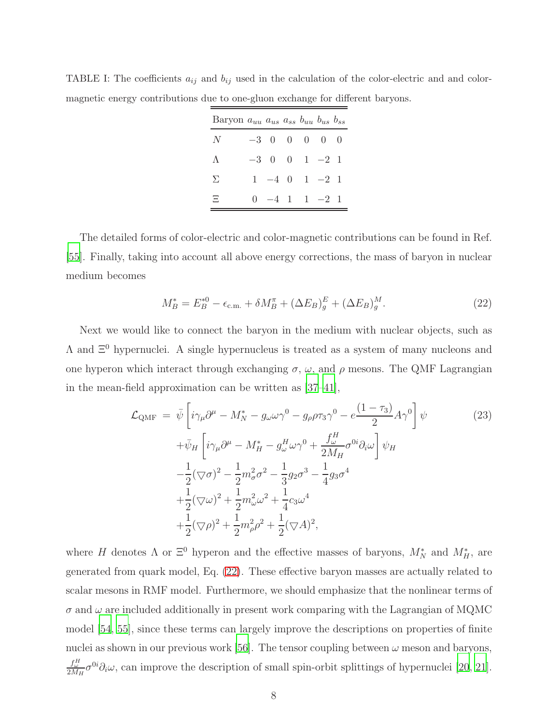| Baryon $a_{uu}$ $a_{us}$ $a_{ss}$ $b_{uu}$ $b_{us}$ $b_{ss}$ |  |                   |  |
|--------------------------------------------------------------|--|-------------------|--|
| $\,N$                                                        |  | $-3$ 000000       |  |
| $\Lambda$                                                    |  | $-3$ 0 0 1 $-2$ 1 |  |
| Σ                                                            |  | $1 -4 0 1 -2 1$   |  |
| Ξ                                                            |  | $0 -4 1 1 -2 1$   |  |

<span id="page-7-0"></span>TABLE I: The coefficients  $a_{ij}$  and  $b_{ij}$  used in the calculation of the color-electric and and colormagnetic energy contributions due to one-gluon exchange for different baryons.

The detailed forms of color-electric and color-magnetic contributions can be found in Ref. [\[55\]](#page-24-3). Finally, taking into account all above energy corrections, the mass of baryon in nuclear medium becomes

<span id="page-7-1"></span>
$$
M_B^* = E_B^{*0} - \epsilon_{\text{c.m.}} + \delta M_B^{\pi} + (\Delta E_B)_g^E + (\Delta E_B)_g^M. \tag{22}
$$

Next we would like to connect the baryon in the medium with nuclear objects, such as  $\Lambda$  and  $\Xi^0$  hypernuclei. A single hypernucleus is treated as a system of many nucleons and one hyperon which interact through exchanging  $\sigma$ ,  $\omega$ , and  $\rho$  mesons. The QMF Lagrangian in the mean-field approximation can be written as [\[37](#page-23-4)[–41\]](#page-23-10),

$$
\mathcal{L}_{\text{QMF}} = \bar{\psi} \left[ i\gamma_\mu \partial^\mu - M_N^* - g_\omega \omega \gamma^0 - g_\rho \rho \tau_3 \gamma^0 - e \frac{(1 - \tau_3)}{2} A \gamma^0 \right] \psi
$$
\n
$$
+ \bar{\psi}_H \left[ i\gamma_\mu \partial^\mu - M_H^* - g_\omega^H \omega \gamma^0 + \frac{f_\omega^H}{2M_H} \sigma^{0i} \partial_i \omega \right] \psi_H
$$
\n
$$
- \frac{1}{2} (\nabla \sigma)^2 - \frac{1}{2} m_\sigma^2 \sigma^2 - \frac{1}{3} g_2 \sigma^3 - \frac{1}{4} g_3 \sigma^4
$$
\n
$$
+ \frac{1}{2} (\nabla \omega)^2 + \frac{1}{2} m_\omega^2 \omega^2 + \frac{1}{4} c_3 \omega^4
$$
\n
$$
+ \frac{1}{2} (\nabla \rho)^2 + \frac{1}{2} m_\rho^2 \rho^2 + \frac{1}{2} (\nabla A)^2,
$$
\n(23)

where H denotes  $\Lambda$  or  $\Xi^0$  hyperon and the effective masses of baryons,  $M_N^*$  and  $M_H^*$ , are generated from quark model, Eq. [\(22\)](#page-7-1). These effective baryon masses are actually related to scalar mesons in RMF model. Furthermore, we should emphasize that the nonlinear terms of  $\sigma$  and  $\omega$  are included additionally in present work comparing with the Lagrangian of MQMC model [\[54,](#page-24-2) [55](#page-24-3)], since these terms can largely improve the descriptions on properties of finite nuclei as shown in our previous work [\[56](#page-24-4)]. The tensor coupling between  $\omega$  meson and baryons,  $\frac{f_{\omega}^H}{2M_H}\sigma^{0i}\partial_i\omega$ , can improve the description of small spin-orbit splittings of hypernuclei [\[20](#page-22-7), [21\]](#page-22-13).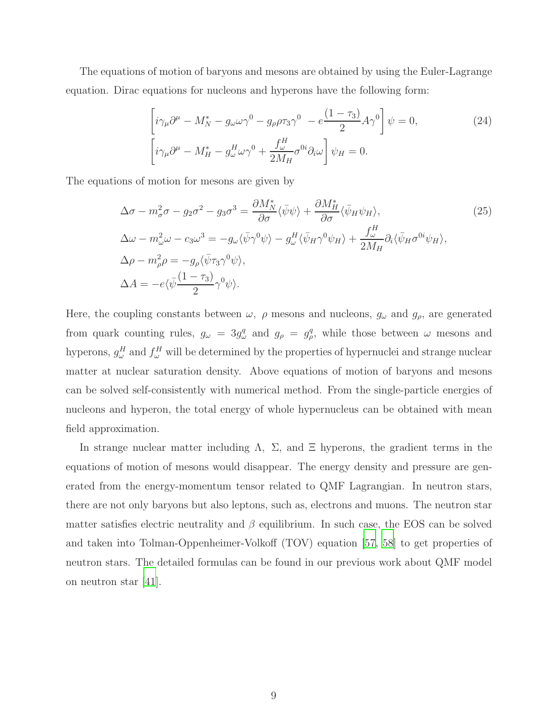The equations of motion of baryons and mesons are obtained by using the Euler-Lagrange equation. Dirac equations for nucleons and hyperons have the following form:

$$
\left[i\gamma_{\mu}\partial^{\mu} - M_{N}^{*} - g_{\omega}\omega\gamma^{0} - g_{\rho}\rho\tau_{3}\gamma^{0} - e^{\frac{(1-\tau_{3})}{2}}A\gamma^{0}\right]\psi = 0,
$$
\n
$$
\left[i\gamma_{\mu}\partial^{\mu} - M_{H}^{*} - g_{\omega}^{H}\omega\gamma^{0} + \frac{f_{\omega}^{H}}{2M_{H}}\sigma^{0i}\partial_{i}\omega\right]\psi_{H} = 0.
$$
\n(24)

The equations of motion for mesons are given by

$$
\Delta \sigma - m_{\sigma}^{2} \sigma - g_{2} \sigma^{2} - g_{3} \sigma^{3} = \frac{\partial M_{N}^{*}}{\partial \sigma} \langle \bar{\psi} \psi \rangle + \frac{\partial M_{H}^{*}}{\partial \sigma} \langle \bar{\psi}_{H} \psi_{H} \rangle, \n\Delta \omega - m_{\omega}^{2} \omega - c_{3} \omega^{3} = -g_{\omega} \langle \bar{\psi} \gamma^{0} \psi \rangle - g_{\omega}^{H} \langle \bar{\psi}_{H} \gamma^{0} \psi_{H} \rangle + \frac{f_{\omega}^{H}}{2M_{H}} \partial_{i} \langle \bar{\psi}_{H} \sigma^{0i} \psi_{H} \rangle, \n\Delta \rho - m_{\rho}^{2} \rho = -g_{\rho} \langle \bar{\psi} \tau_{3} \gamma^{0} \psi \rangle, \n\Delta A = -e \langle \bar{\psi} \frac{(1 - \tau_{3})}{2} \gamma^{0} \psi \rangle.
$$
\n(25)

Here, the coupling constants between  $\omega$ ,  $\rho$  mesons and nucleons,  $g_{\omega}$  and  $g_{\rho}$ , are generated from quark counting rules,  $g_{\omega} = 3g_{\omega}^q$  and  $g_{\rho} = g_{\rho}^q$ , while those between  $\omega$  mesons and hyperons,  $g^H_\omega$  and  $f^H_\omega$  will be determined by the properties of hypernuclei and strange nuclear matter at nuclear saturation density. Above equations of motion of baryons and mesons can be solved self-consistently with numerical method. From the single-particle energies of nucleons and hyperon, the total energy of whole hypernucleus can be obtained with mean field approximation.

In strange nuclear matter including  $\Lambda$ ,  $\Sigma$ , and  $\Xi$  hyperons, the gradient terms in the equations of motion of mesons would disappear. The energy density and pressure are generated from the energy-momentum tensor related to QMF Lagrangian. In neutron stars, there are not only baryons but also leptons, such as, electrons and muons. The neutron star matter satisfies electric neutrality and  $\beta$  equilibrium. In such case, the EOS can be solved and taken into Tolman-Oppenheimer-Volkoff (TOV) equation [\[57,](#page-24-5) [58](#page-24-6)] to get properties of neutron stars. The detailed formulas can be found in our previous work about QMF model on neutron star [\[41](#page-23-10)].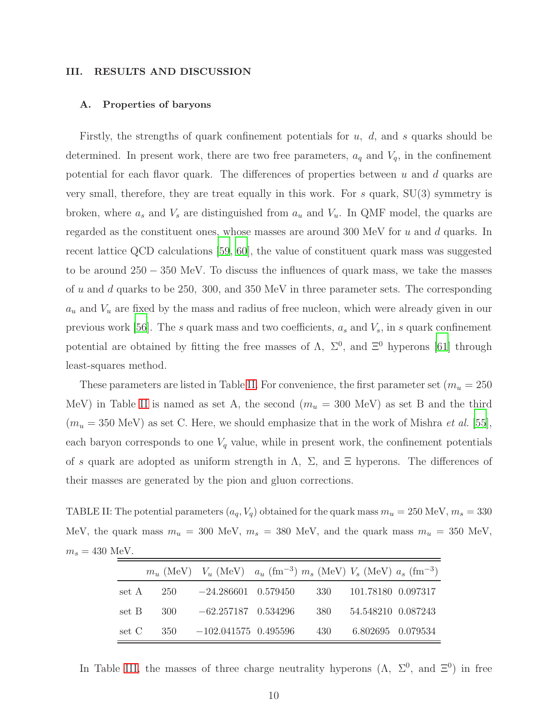#### III. RESULTS AND DISCUSSION

#### A. Properties of baryons

Firstly, the strengths of quark confinement potentials for  $u, d$ , and s quarks should be determined. In present work, there are two free parameters,  $a_q$  and  $V_q$ , in the confinement potential for each flavor quark. The differences of properties between  $u$  and  $d$  quarks are very small, therefore, they are treat equally in this work. For s quark,  $SU(3)$  symmetry is broken, where  $a_s$  and  $V_s$  are distinguished from  $a_u$  and  $V_u$ . In QMF model, the quarks are regarded as the constituent ones, whose masses are around  $300 \text{ MeV}$  for u and d quarks. In recent lattice QCD calculations [\[59,](#page-24-7) [60](#page-24-8)], the value of constituent quark mass was suggested to be around 250 − 350 MeV. To discuss the influences of quark mass, we take the masses of u and d quarks to be 250, 300, and 350 MeV in three parameter sets. The corresponding  $a_u$  and  $V_u$  are fixed by the mass and radius of free nucleon, which were already given in our previous work [\[56\]](#page-24-4). The s quark mass and two coefficients,  $a_s$  and  $V_s$ , in s quark confinement potential are obtained by fitting the free masses of  $\Lambda$ ,  $\Sigma^0$ , and  $\Xi^0$  hyperons [\[61\]](#page-24-9) through least-squares method.

These parameters are listed in Table [II.](#page-9-0) For convenience, the first parameter set ( $m_u = 250$ MeV) in Table [II](#page-9-0) is named as set A, the second  $(m_u = 300 \text{ MeV})$  as set B and the third  $(m_u = 350 \text{ MeV})$  as set C. Here, we should emphasize that in the work of Mishra *et al.* [\[55\]](#page-24-3), each baryon corresponds to one  $V_q$  value, while in present work, the confinement potentials of s quark are adopted as uniform strength in  $\Lambda$ ,  $\Sigma$ , and  $\Xi$  hyperons. The differences of their masses are generated by the pion and gluon corrections.

TABLE II: The potential parameters  $(a_q, V_q)$  obtained for the quark mass  $m_u = 250$  MeV,  $m_s = 330$ MeV, the quark mass  $m_u = 300$  MeV,  $m_s = 380$  MeV, and the quark mass  $m_u = 350$  MeV,  $m_s = 430$  MeV.

<span id="page-9-0"></span>

|             | $m_u$ (MeV) $V_u$ (MeV) $a_u$ (fm <sup>-3</sup> ) $m_s$ (MeV) $V_s$ (MeV) $a_s$ (fm <sup>-3</sup> ) |     |                    |  |
|-------------|-----------------------------------------------------------------------------------------------------|-----|--------------------|--|
|             | set A $250 -24.286601 0.579450$                                                                     | 330 | 101.78180 0.097317 |  |
| set B $300$ | $-62.257187$ 0.534296                                                                               | 380 | 54.548210 0.087243 |  |
|             | set C $350 -102.041575 0.495596$                                                                    | 430 | 6.802695 0.079534  |  |

In Table [III,](#page-10-0) the masses of three charge neutrality hyperons  $(\Lambda, \Sigma^0, \text{ and } \Xi^0)$  in free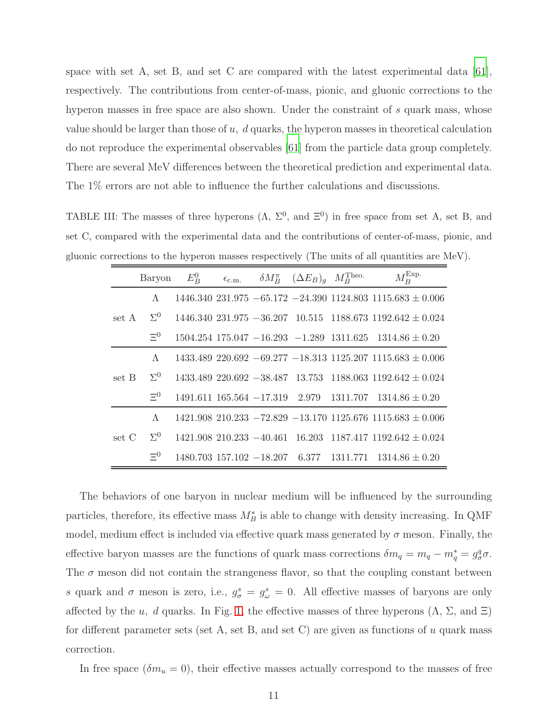space with set A, set B, and set C are compared with the latest experimental data [\[61\]](#page-24-9), respectively. The contributions from center-of-mass, pionic, and gluonic corrections to the hyperon masses in free space are also shown. Under the constraint of s quark mass, whose value should be larger than those of  $u$ ,  $d$  quarks, the hyperon masses in theoretical calculation do not reproduce the experimental observables [\[61](#page-24-9)] from the particle data group completely. There are several MeV differences between the theoretical prediction and experimental data. The 1% errors are not able to influence the further calculations and discussions.

TABLE III: The masses of three hyperons  $(\Lambda, \Sigma^0, \text{ and } \Xi^0)$  in free space from set A, set B, and set C, compared with the experimental data and the contributions of center-of-mass, pionic, and gluonic corrections to the hyperon masses respectively (The units of all quantities are MeV).

<span id="page-10-0"></span>

|       | Baryon     | $E_R^0$ | $\epsilon_{\rm c.m.}$ | $\delta M_B^{\pi}$ $(\Delta E_B)_{q}$ $M_B^{\text{Theo}}$ | $M_B^{\rm Exp.}$                                                         |
|-------|------------|---------|-----------------------|-----------------------------------------------------------|--------------------------------------------------------------------------|
| set A | $\Lambda$  |         |                       |                                                           | $1446.340$ $231.975$ $-65.172$ $-24.390$ $1124.803$ $1115.683 \pm 0.006$ |
|       | $\Sigma^0$ |         |                       |                                                           | $1446.340$ $231.975$ $-36.207$ $10.515$ $1188.673$ $1192.642 \pm 0.024$  |
|       | $\Xi^0$    |         |                       |                                                           | $1504.254$ 175.047 $-16.293$ $-1.289$ 1311.625 1314.86 $\pm$ 0.20        |
| set B | $\Lambda$  |         |                       |                                                           | $1433.489$ $220.692 - 69.277 - 18.313$ $1125.207$ $1115.683 \pm 0.006$   |
|       | $\Sigma^0$ |         |                       |                                                           | $1433.489$ $220.692$ $-38.487$ $13.753$ $1188.063$ $1192.642 \pm 0.024$  |
|       | $\Xi^0$    |         |                       |                                                           | $1491.611$ $165.564$ $-17.319$ $2.979$ $1311.707$ $1314.86 \pm 0.20$     |
| set C | $\Lambda$  |         |                       |                                                           | $1421.908$ $210.233 - 72.829 - 13.170$ $1125.676$ $1115.683 \pm 0.006$   |
|       | $\Sigma^0$ |         |                       |                                                           | $1421.908$ $210.233 - 40.461$ $16.203$ $1187.417$ $1192.642 + 0.024$     |
|       | $\Xi^0$    |         |                       |                                                           | $1480.703$ $157.102$ $-18.207$ 6.377 $1311.771$ $1314.86 \pm 0.20$       |

The behaviors of one baryon in nuclear medium will be influenced by the surrounding particles, therefore, its effective mass  $M_B^*$  is able to change with density increasing. In QMF model, medium effect is included via effective quark mass generated by  $\sigma$  meson. Finally, the effective baryon masses are the functions of quark mass corrections  $\delta m_q = m_q - m_q^* = g_\sigma^q \sigma$ . The  $\sigma$  meson did not contain the strangeness flavor, so that the coupling constant between s quark and  $\sigma$  meson is zero, i.e.,  $g_{\sigma}^{s} = g_{\omega}^{s} = 0$ . All effective masses of baryons are only affected by the u, d quarks. In Fig. [1,](#page-11-0) the effective masses of three hyperons  $(\Lambda, \Sigma, \text{ and } \Xi)$ for different parameter sets (set A, set B, and set C) are given as functions of  $u$  quark mass correction.

In free space  $(\delta m_u = 0)$ , their effective masses actually correspond to the masses of free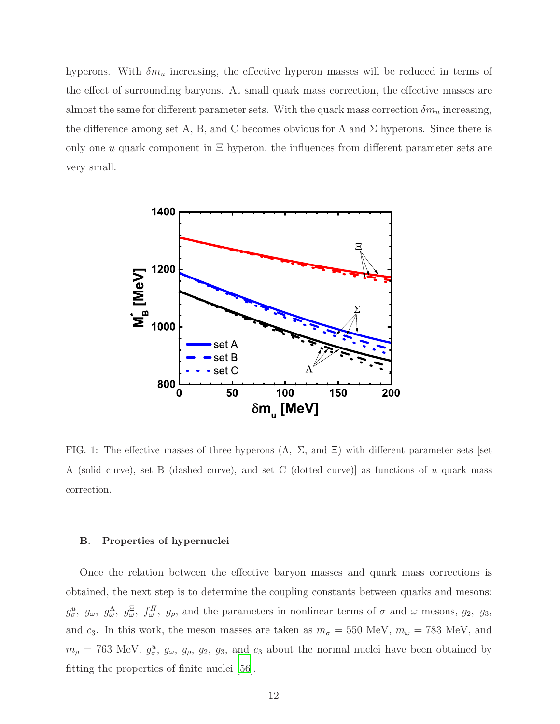hyperons. With  $\delta m_u$  increasing, the effective hyperon masses will be reduced in terms of the effect of surrounding baryons. At small quark mass correction, the effective masses are almost the same for different parameter sets. With the quark mass correction  $\delta m_u$  increasing, the difference among set A, B, and C becomes obvious for  $\Lambda$  and  $\Sigma$  hyperons. Since there is only one u quark component in  $\Xi$  hyperon, the influences from different parameter sets are very small.



<span id="page-11-0"></span>FIG. 1: The effective masses of three hyperons  $(\Lambda, \Sigma, \text{ and } \Xi)$  with different parameter sets [set] A (solid curve), set B (dashed curve), and set C (dotted curve)] as functions of u quark mass correction.

#### B. Properties of hypernuclei

Once the relation between the effective baryon masses and quark mass corrections is obtained, the next step is to determine the coupling constants between quarks and mesons:  $g^u_\sigma$ ,  $g_\omega$ ,  $g^{\Lambda}_{\omega}$ ,  $g^{\Xi}_{\omega}$ ,  $f^H_\omega$ ,  $g_\rho$ , and the parameters in nonlinear terms of  $\sigma$  and  $\omega$  mesons,  $g_2$ ,  $g_3$ , and  $c_3$ . In this work, the meson masses are taken as  $m_{\sigma} = 550$  MeV,  $m_{\omega} = 783$  MeV, and  $m_{\rho} = 763$  MeV.  $g_{\sigma}^{u}$ ,  $g_{\omega}$ ,  $g_{\rho}$ ,  $g_{2}$ ,  $g_{3}$ , and  $c_{3}$  about the normal nuclei have been obtained by fitting the properties of finite nuclei [\[56\]](#page-24-4).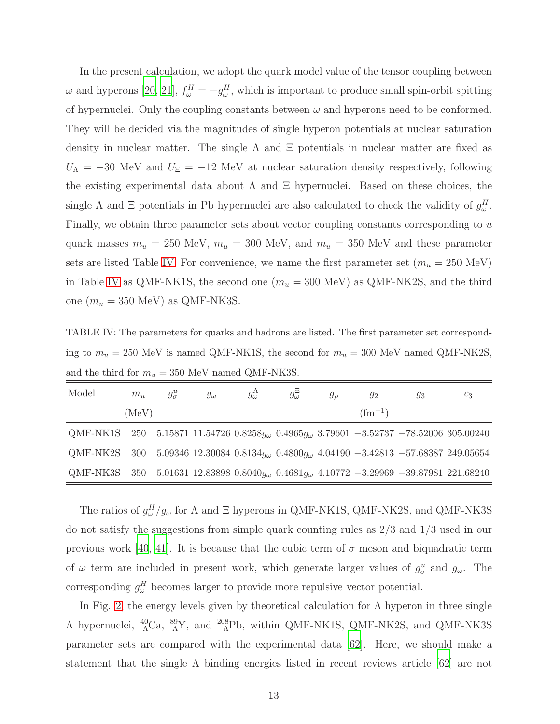In the present calculation, we adopt the quark model value of the tensor coupling between  $\omega$  and hyperons [\[20,](#page-22-7) [21](#page-22-13)],  $f^H_{\omega} = -g^H_{\omega}$ , which is important to produce small spin-orbit spitting of hypernuclei. Only the coupling constants between  $\omega$  and hyperons need to be conformed. They will be decided via the magnitudes of single hyperon potentials at nuclear saturation density in nuclear matter. The single  $\Lambda$  and  $\Xi$  potentials in nuclear matter are fixed as  $U_{\Lambda} = -30$  MeV and  $U_{\Xi} = -12$  MeV at nuclear saturation density respectively, following the existing experimental data about  $\Lambda$  and  $\Xi$  hypernuclei. Based on these choices, the single  $\Lambda$  and  $\Xi$  potentials in Pb hypernuclei are also calculated to check the validity of  $g^H_\omega$ . Finally, we obtain three parameter sets about vector coupling constants corresponding to u quark masses  $m_u = 250$  MeV,  $m_u = 300$  MeV, and  $m_u = 350$  MeV and these parameter sets are listed Table [IV.](#page-12-0) For convenience, we name the first parameter set  $(m_u = 250 \text{ MeV})$ in Table [IV](#page-12-0) as QMF-NK1S, the second one  $(m_u=300\ {\rm MeV})$  as QMF-NK2S, and the third one  $(m_u = 350 \text{ MeV})$  as QMF-NK3S.

<span id="page-12-0"></span>TABLE IV: The parameters for quarks and hadrons are listed. The first parameter set corresponding to  $m_u = 250$  MeV is named QMF-NK1S, the second for  $m_u = 300$  MeV named QMF-NK2S, and the third for  $m_u = 350$  MeV named QMF-NK3S.

| Model                                                                                                        | $m_{\rm u}$ | $g^u_\sigma$ | $g_{\omega}$ | $g_{\omega}^{\Lambda}$ | $g_{\omega}^{\Xi}$ | $g_{\rho}$ | $g_2$           | $g_3$ | $c_3$ |
|--------------------------------------------------------------------------------------------------------------|-------------|--------------|--------------|------------------------|--------------------|------------|-----------------|-------|-------|
|                                                                                                              | (MeV)       |              |              |                        |                    |            | $\rm (fm^{-1})$ |       |       |
| QMF-NK1S 250 5.15871 11.54726 0.8258 $q_{\omega}$ 0.4965 $q_{\omega}$ 3.79601 -3.52737 -78.52006 305.00240   |             |              |              |                        |                    |            |                 |       |       |
| QMF-NK2S 300 5.09346 12.30084 0.8134 $q_{\omega}$ 0.4800 $q_{\omega}$ 4.04190 -3.42813 -57.68387 249.05654   |             |              |              |                        |                    |            |                 |       |       |
| QMF-NK3S 350 5.01631 12.83898 0.8040 $q_{\omega}$ , 0.4681 $q_{\omega}$ 4.10772 -3.29969 -39.87981 221.68240 |             |              |              |                        |                    |            |                 |       |       |

The ratios of  $g^H_{\omega}/g_{\omega}$  for  $\Lambda$  and  $\Xi$  hyperons in QMF-NK1S, QMF-NK2S, and QMF-NK3S do not satisfy the suggestions from simple quark counting rules as 2/3 and 1/3 used in our previous work [\[40,](#page-23-9) [41\]](#page-23-10). It is because that the cubic term of  $\sigma$  meson and biquadratic term of  $\omega$  term are included in present work, which generate larger values of  $g^u_\sigma$  and  $g_\omega$ . The corresponding  $g^H_\omega$  becomes larger to provide more repulsive vector potential.

In Fig. [2,](#page-13-0) the energy levels given by theoretical calculation for  $\Lambda$  hyperon in three single  $\Lambda$  hypernuclei,  ${}^{40}_{\Lambda}$ Ca,  ${}^{89}_{\Lambda}$ Y, and  ${}^{208}_{\Lambda}$ Pb, within QMF-NK1S, QMF-NK2S, and QMF-NK3S parameter sets are compared with the experimental data [\[62\]](#page-24-10). Here, we should make a statement that the single  $\Lambda$  binding energies listed in recent reviews article [\[62\]](#page-24-10) are not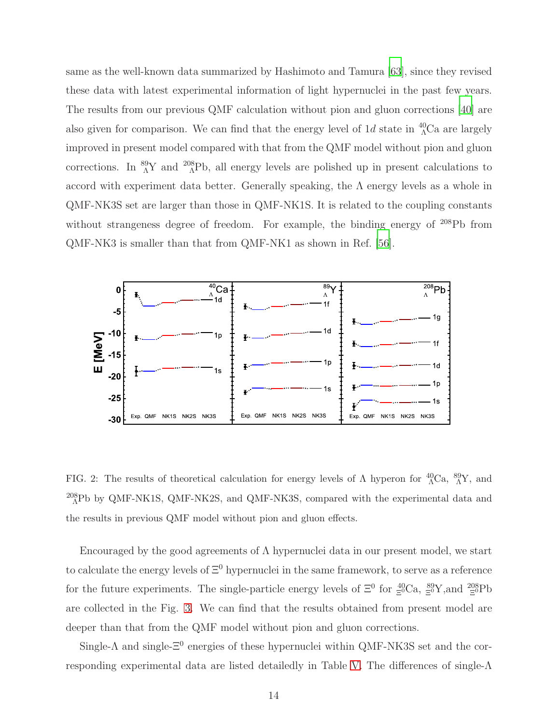same as the well-known data summarized by Hashimoto and Tamura [\[63\]](#page-24-11), since they revised these data with latest experimental information of light hypernuclei in the past few years. The results from our previous QMF calculation without pion and gluon corrections [\[40\]](#page-23-9) are also given for comparison. We can find that the energy level of  $1d$  state in  $^{40}_{\Lambda}$ Ca are largely improved in present model compared with that from the QMF model without pion and gluon corrections. In  ${}^{89}_{\Lambda}Y$  and  ${}^{208}_{\Lambda}Pb$ , all energy levels are polished up in present calculations to accord with experiment data better. Generally speaking, the  $\Lambda$  energy levels as a whole in QMF-NK3S set are larger than those in QMF-NK1S. It is related to the coupling constants without strangeness degree of freedom. For example, the binding energy of <sup>208</sup>Pb from QMF-NK3 is smaller than that from QMF-NK1 as shown in Ref. [\[56\]](#page-24-4).



<span id="page-13-0"></span>FIG. 2: The results of theoretical calculation for energy levels of  $\Lambda$  hyperon for  ${}^{40}_{\Lambda}$ Ca,  ${}^{89}_{\Lambda}$ Y, and  $^{208}_{\Lambda}$ Pb by QMF-NK1S, QMF-NK2S, and QMF-NK3S, compared with the experimental data and the results in previous QMF model without pion and gluon effects.

Encouraged by the good agreements of  $\Lambda$  hypernuclei data in our present model, we start to calculate the energy levels of  $\Xi^0$  hypernuclei in the same framework, to serve as a reference for the future experiments. The single-particle energy levels of  $\Xi^0$  for  $\frac{40}{\Xi^0}$ Ca,  $\frac{89}{\Xi^0}$ Y, and  $\frac{208}{\Xi^0}$ Pb are collected in the Fig. [3.](#page-14-0) We can find that the results obtained from present model are deeper than that from the QMF model without pion and gluon corrections.

Single- $\Lambda$  and single- $\Xi^0$  energies of these hypernuclei within QMF-NK3S set and the corresponding experimental data are listed detailedly in Table [V.](#page-15-0) The differences of single-Λ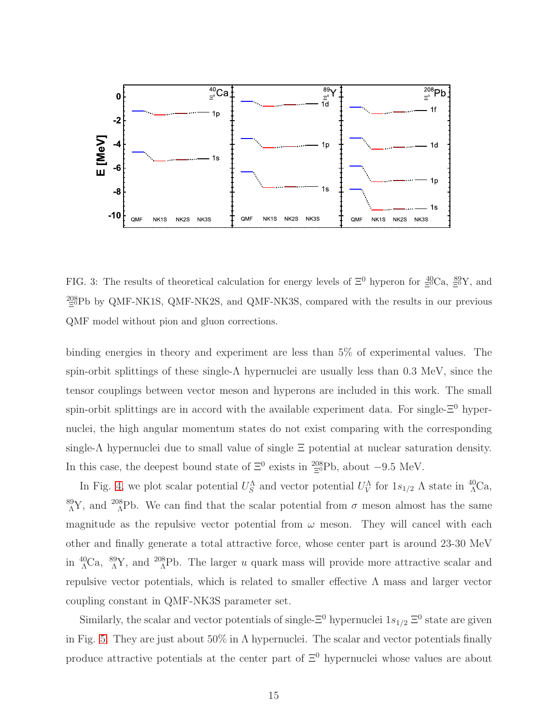

<span id="page-14-0"></span>FIG. 3: The results of theoretical calculation for energy levels of  $\Xi^0$  hyperon for  $\Xi^{0}Ca$ ,  $\Xi^{8}Y$ , and  $^{208}_{\Xi}$ Pb by QMF-NK1S, QMF-NK2S, and QMF-NK3S, compared with the results in our previous QMF model without pion and gluon corrections.

binding energies in theory and experiment are less than 5% of experimental values. The spin-orbit splittings of these single- $\Lambda$  hypernuclei are usually less than 0.3 MeV, since the tensor couplings between vector meson and hyperons are included in this work. The small spin-orbit splittings are in accord with the available experiment data. For single- $\Xi^0$  hypernuclei, the high angular momentum states do not exist comparing with the corresponding single-Λ hypernuclei due to small value of single  $\Xi$  potential at nuclear saturation density. In this case, the deepest bound state of  $\Xi^0$  exists in  ${}^{208}_{\Xi^0}Pb$ , about  $-9.5$  MeV.

In Fig. [4,](#page-16-0) we plot scalar potential  $U_S^{\Lambda}$  and vector potential  $U_V^{\Lambda}$  for  $1s_{1/2}$   $\Lambda$  state in  ${}^{40}_{\Lambda}$ Ca, <sup>89</sup><sub>A</sub>Y, and <sup>208</sup><sub>A</sub>Pb. We can find that the scalar potential from  $\sigma$  meson almost has the same magnitude as the repulsive vector potential from  $\omega$  meson. They will cancel with each other and finally generate a total attractive force, whose center part is around 23-30 MeV in  ${}^{40}_{\Lambda}$ Ca,  ${}^{89}_{\Lambda}$ Y, and  ${}^{208}_{\Lambda}$ Pb. The larger u quark mass will provide more attractive scalar and repulsive vector potentials, which is related to smaller effective Λ mass and larger vector coupling constant in QMF-NK3S parameter set.

Similarly, the scalar and vector potentials of single- $\Xi^0$  hypernuclei  $1s_{1/2} \Xi^0$  state are given in Fig. [5.](#page-17-0) They are just about  $50\%$  in  $\Lambda$  hypernuclei. The scalar and vector potentials finally produce attractive potentials at the center part of  $\Xi^0$  hypernuclei whose values are about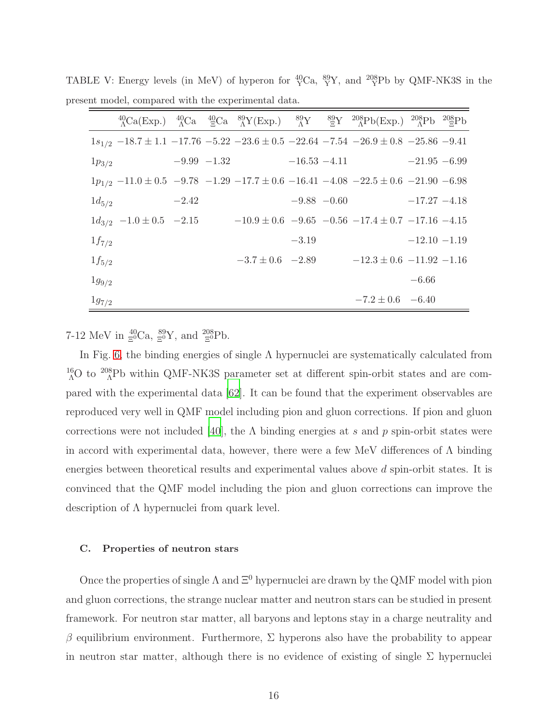<span id="page-15-0"></span>

|            |                                                                                                    |               |                        |                 | ${}^{40}_{\Lambda}Ca(Exp.)$ ${}^{40}_{\Lambda}Ca$ ${}^{40}_{\Xi}Ca$ ${}^{89}_{\Lambda}Y(Exp.)$ ${}^{89}_{\Lambda}Y$ ${}^{89}_{\Xi}Y$ ${}^{208}_{\Lambda}Pb(Exp.)$ ${}^{208}_{\Lambda}Pb$ ${}^{208}_{\Xi}Pb$ |                 |  |
|------------|----------------------------------------------------------------------------------------------------|---------------|------------------------|-----------------|-------------------------------------------------------------------------------------------------------------------------------------------------------------------------------------------------------------|-----------------|--|
|            | $1s_{1/2}$ -18.7 ± 1.1 -17.76 -5.22 -23.6 ± 0.5 -22.64 -7.54 -26.9 ± 0.8 -25.86 -9.41              |               |                        |                 |                                                                                                                                                                                                             |                 |  |
| $1p_{3/2}$ |                                                                                                    | $-9.99 -1.32$ |                        | $-16.53 - 4.11$ |                                                                                                                                                                                                             | $-21.95 - 6.99$ |  |
|            | $1p_{1/2}$ -11.0 ± 0.5 -9.78 -1.29 -17.7 ± 0.6 -16.41 -4.08 -22.5 ± 0.6 -21.90 -6.98               |               |                        |                 |                                                                                                                                                                                                             |                 |  |
| $1d_{5/2}$ |                                                                                                    | $-2.42$       |                        | $-9.88 - 0.60$  |                                                                                                                                                                                                             | $-17.27 - 4.18$ |  |
|            | $1d_{3/2}$ $-1.0 \pm 0.5$ $-2.15$ $-10.9 \pm 0.6$ $-9.65$ $-0.56$ $-17.4 \pm 0.7$ $-17.16$ $-4.15$ |               |                        |                 |                                                                                                                                                                                                             |                 |  |
| $1f_{7/2}$ |                                                                                                    |               |                        | $-3.19$         |                                                                                                                                                                                                             | $-12.10 - 1.19$ |  |
| $1f_{5/2}$ |                                                                                                    |               | $-3.7 \pm 0.6$ $-2.89$ |                 | $-12.3 \pm 0.6$ $-11.92$ $-1.16$                                                                                                                                                                            |                 |  |
| $1g_{9/2}$ |                                                                                                    |               |                        |                 |                                                                                                                                                                                                             | $-6.66$         |  |
| $1g_{7/2}$ |                                                                                                    |               |                        |                 | $-7.2 \pm 0.6$ $-6.40$                                                                                                                                                                                      |                 |  |

TABLE V: Energy levels (in MeV) of hyperon for  ${}^{40}_{Y}$ Ca,  ${}^{89}_{Y}$ Y, and  ${}^{208}_{Y}$ Pb by QMF-NK3S in the present model, compared with the experimental data.

7-12 MeV in  $\frac{40}{5}Ca$ ,  $\frac{89}{5}Y$ , and  $\frac{208}{5}Pb$ .

In Fig. [6,](#page-18-0) the binding energies of single  $\Lambda$  hypernuclei are systematically calculated from  $^{16}_{\Lambda}$ O to  $^{208}_{\Lambda}$ Pb within QMF-NK3S parameter set at different spin-orbit states and are compared with the experimental data [\[62\]](#page-24-10). It can be found that the experiment observables are reproduced very well in QMF model including pion and gluon corrections. If pion and gluon corrections were not included [\[40](#page-23-9)], the  $\Lambda$  binding energies at s and p spin-orbit states were in accord with experimental data, however, there were a few MeV differences of  $\Lambda$  binding energies between theoretical results and experimental values above d spin-orbit states. It is convinced that the QMF model including the pion and gluon corrections can improve the description of Λ hypernuclei from quark level.

#### C. Properties of neutron stars

Once the properties of single  $\Lambda$  and  $\Xi^0$  hypernuclei are drawn by the QMF model with pion and gluon corrections, the strange nuclear matter and neutron stars can be studied in present framework. For neutron star matter, all baryons and leptons stay in a charge neutrality and β equilibrium environment. Furthermore,  $\Sigma$  hyperons also have the probability to appear in neutron star matter, although there is no evidence of existing of single  $\Sigma$  hypernuclei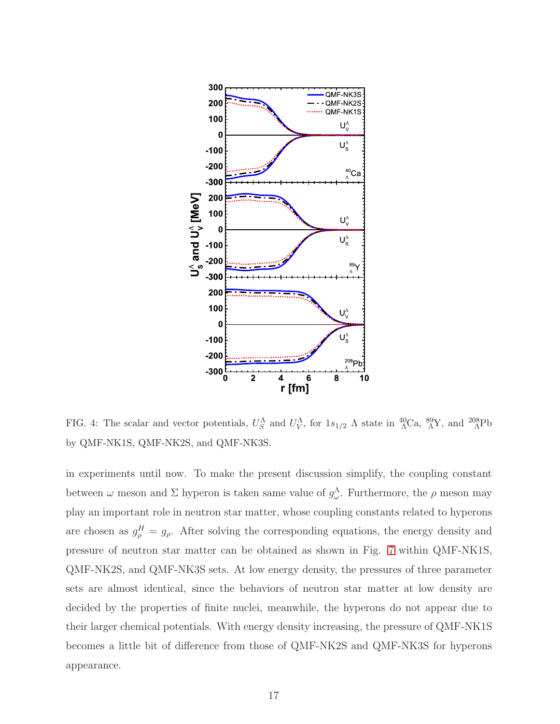

<span id="page-16-0"></span>FIG. 4: The scalar and vector potentials,  $U_S^{\Lambda}$  and  $U_V^{\Lambda}$ , for  $1s_{1/2}$   $\Lambda$  state in  ${}^{40}_{\Lambda}$ Ca,  ${}^{89}_{\Lambda}$ Y, and  ${}^{208}_{\Lambda}$ Pb by QMF-NK1S, QMF-NK2S, and QMF-NK3S.

in experiments until now. To make the present discussion simplify, the coupling constant between  $\omega$  meson and  $\Sigma$  hyperon is taken same value of  $g_{\omega}^{\Lambda}$ . Furthermore, the  $\rho$  meson may play an important role in neutron star matter, whose coupling constants related to hyperons are chosen as  $g_{\rho}^H = g_{\rho}$ . After solving the corresponding equations, the energy density and pressure of neutron star matter can be obtained as shown in Fig. [7](#page-19-0) within QMF-NK1S, QMF-NK2S, and QMF-NK3S sets. At low energy density, the pressures of three parameter sets are almost identical, since the behaviors of neutron star matter at low density are decided by the properties of finite nuclei, meanwhile, the hyperons do not appear due to their larger chemical potentials. With energy density increasing, the pressure of QMF-NK1S becomes a little bit of difference from those of QMF-NK2S and QMF-NK3S for hyperons appearance.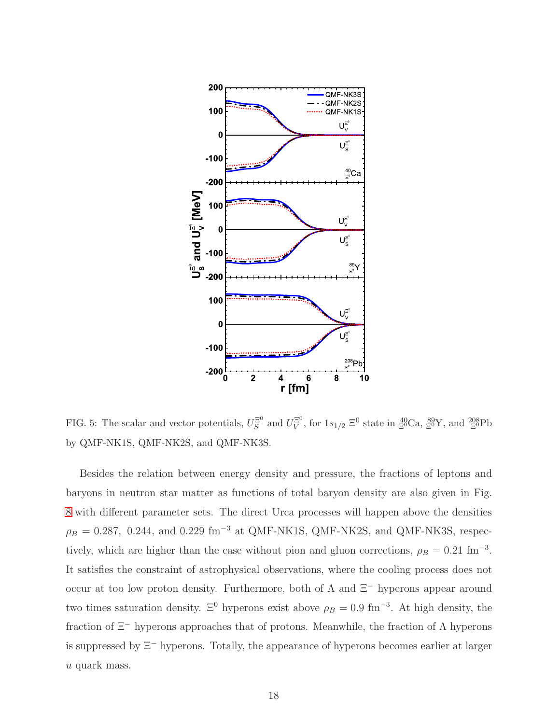

<span id="page-17-0"></span>FIG. 5: The scalar and vector potentials,  $U_S^{\Xi^0}$  and  $U_V^{\Xi^0}$ , for  $1s_{1/2} \equiv 0$  state in  $\frac{40}{\Xi^0}Ca$ ,  $\frac{89}{\Xi^0}Y$ , and  $\frac{208}{\Xi^0}Pb$ by QMF-NK1S, QMF-NK2S, and QMF-NK3S.

Besides the relation between energy density and pressure, the fractions of leptons and baryons in neutron star matter as functions of total baryon density are also given in Fig. [8](#page-20-0) with different parameter sets. The direct Urca processes will happen above the densities  $\rho_B = 0.287, 0.244,$  and 0.229 fm<sup>-3</sup> at QMF-NK1S, QMF-NK2S, and QMF-NK3S, respectively, which are higher than the case without pion and gluon corrections,  $\rho_B = 0.21 \text{ fm}^{-3}$ . It satisfies the constraint of astrophysical observations, where the cooling process does not occur at too low proton density. Furthermore, both of  $\Lambda$  and  $\Xi^-$  hyperons appear around two times saturation density.  $\Xi^0$  hyperons exist above  $\rho_B = 0.9 \text{ fm}^{-3}$ . At high density, the fraction of  $\Xi^-$  hyperons approaches that of protons. Meanwhile, the fraction of  $\Lambda$  hyperons is suppressed by Ξ<sup>−</sup> hyperons. Totally, the appearance of hyperons becomes earlier at larger u quark mass.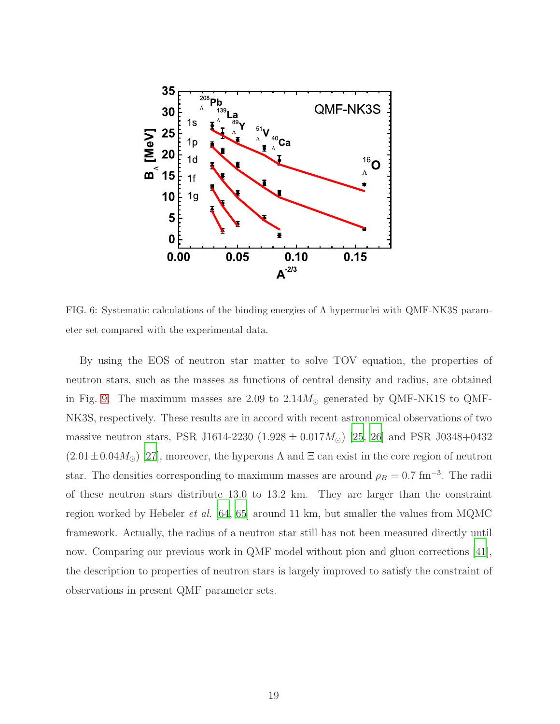

<span id="page-18-0"></span>FIG. 6: Systematic calculations of the binding energies of  $\Lambda$  hypernuclei with QMF-NK3S parameter set compared with the experimental data.

By using the EOS of neutron star matter to solve TOV equation, the properties of neutron stars, such as the masses as functions of central density and radius, are obtained in Fig. [9.](#page-21-1) The maximum masses are 2.09 to  $2.14M_{\odot}$  generated by QMF-NK1S to QMF-NK3S, respectively. These results are in accord with recent astronomical observations of two massive neutron stars, PSR J1614-2230 (1.928  $\pm$  0.017 $M_{\odot}$ ) [\[25,](#page-22-10) [26](#page-22-14)] and PSR J0348+0432  $(2.01\pm0.04M_{\odot})$  [\[27](#page-22-11)], moreover, the hyperons  $\Lambda$  and  $\Xi$  can exist in the core region of neutron star. The densities corresponding to maximum masses are around  $\rho_B = 0.7$  fm<sup>-3</sup>. The radii of these neutron stars distribute 13.0 to 13.2 km. They are larger than the constraint region worked by Hebeler *et al.* [\[64,](#page-24-12) [65\]](#page-24-13) around 11 km, but smaller the values from MQMC framework. Actually, the radius of a neutron star still has not been measured directly until now. Comparing our previous work in QMF model without pion and gluon corrections [\[41\]](#page-23-10), the description to properties of neutron stars is largely improved to satisfy the constraint of observations in present QMF parameter sets.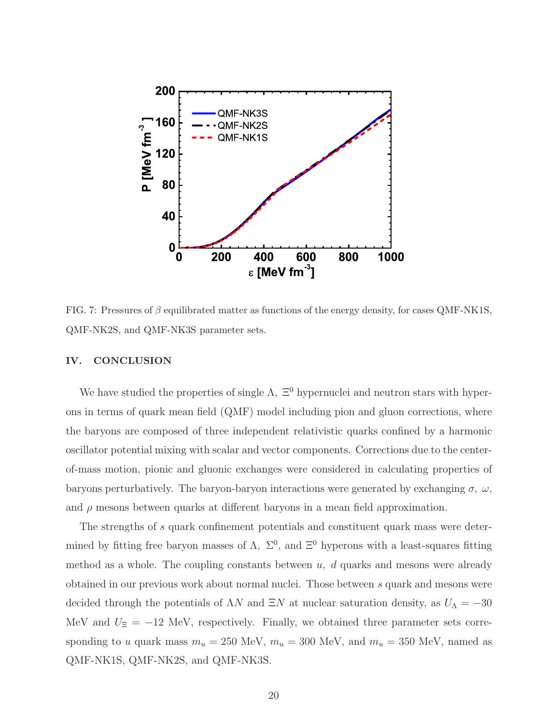

<span id="page-19-0"></span>FIG. 7: Pressures of  $\beta$  equilibrated matter as functions of the energy density, for cases QMF-NK1S, QMF-NK2S, and QMF-NK3S parameter sets.

#### IV. CONCLUSION

We have studied the properties of single  $\Lambda$ ,  $\Xi^0$  hypernuclei and neutron stars with hyperons in terms of quark mean field (QMF) model including pion and gluon corrections, where the baryons are composed of three independent relativistic quarks confined by a harmonic oscillator potential mixing with scalar and vector components. Corrections due to the centerof-mass motion, pionic and gluonic exchanges were considered in calculating properties of baryons perturbatively. The baryon-baryon interactions were generated by exchanging  $\sigma$ ,  $\omega$ , and  $\rho$  mesons between quarks at different baryons in a mean field approximation.

The strengths of s quark confinement potentials and constituent quark mass were determined by fitting free baryon masses of  $\Lambda$ ,  $\Sigma^0$ , and  $\Xi^0$  hyperons with a least-squares fitting method as a whole. The coupling constants between  $u, d$  quarks and mesons were already obtained in our previous work about normal nuclei. Those between s quark and mesons were decided through the potentials of  $\Lambda N$  and  $\Xi N$  at nuclear saturation density, as  $U_{\Lambda} = -30$ MeV and  $U_{\Xi} = -12$  MeV, respectively. Finally, we obtained three parameter sets corresponding to u quark mass  $m_u = 250$  MeV,  $m_u = 300$  MeV, and  $m_u = 350$  MeV, named as QMF-NK1S, QMF-NK2S, and QMF-NK3S.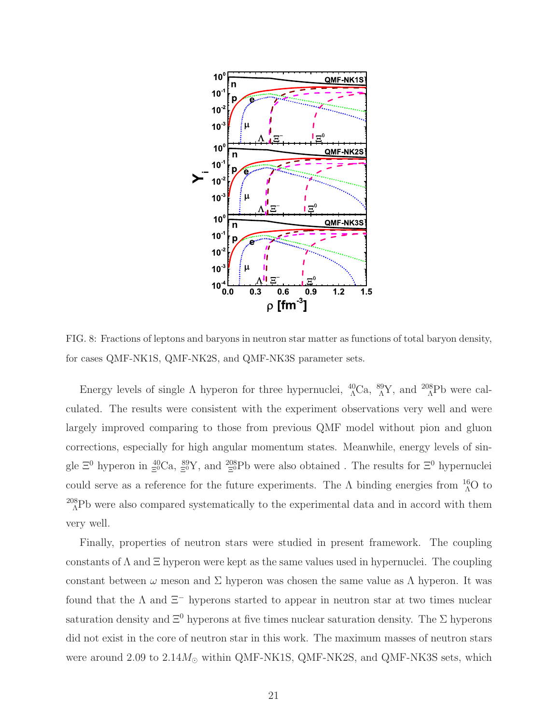

<span id="page-20-0"></span>FIG. 8: Fractions of leptons and baryons in neutron star matter as functions of total baryon density, for cases QMF-NK1S, QMF-NK2S, and QMF-NK3S parameter sets.

Energy levels of single  $\Lambda$  hyperon for three hypernuclei,  ${}^{40}_{\Lambda}$ Ca,  ${}^{89}_{\Lambda}$ Y, and  ${}^{208}_{\Lambda}$ Pb were calculated. The results were consistent with the experiment observations very well and were largely improved comparing to those from previous QMF model without pion and gluon corrections, especially for high angular momentum states. Meanwhile, energy levels of single  $\Xi^0$  hyperon in  $\frac{40}{5}$ Ca,  $\frac{89}{5}$ Y, and  $\frac{208}{5}$ Pb were also obtained. The results for  $\Xi^0$  hypernuclei could serve as a reference for the future experiments. The  $\Lambda$  binding energies from  ${}^{16}_{0}O$  to  $^{208}_{\Lambda}$ Pb were also compared systematically to the experimental data and in accord with them very well.

Finally, properties of neutron stars were studied in present framework. The coupling constants of  $\Lambda$  and  $\Xi$  hyperon were kept as the same values used in hypernuclei. The coupling constant between  $\omega$  meson and  $\Sigma$  hyperon was chosen the same value as  $\Lambda$  hyperon. It was found that the  $\Lambda$  and  $\Xi^-$  hyperons started to appear in neutron star at two times nuclear saturation density and  $\Xi^0$  hyperons at five times nuclear saturation density. The  $\Sigma$  hyperons did not exist in the core of neutron star in this work. The maximum masses of neutron stars were around 2.09 to  $2.14M_{\odot}$  within QMF-NK1S, QMF-NK2S, and QMF-NK3S sets, which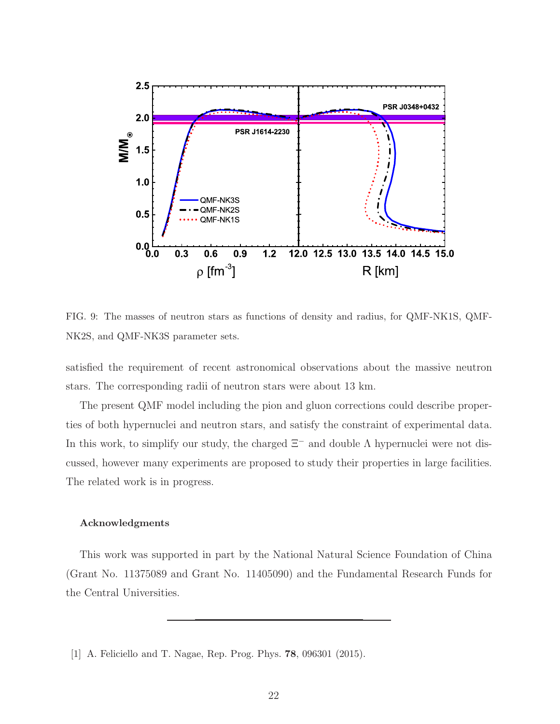

<span id="page-21-1"></span>FIG. 9: The masses of neutron stars as functions of density and radius, for QMF-NK1S, QMF-NK2S, and QMF-NK3S parameter sets.

satisfied the requirement of recent astronomical observations about the massive neutron stars. The corresponding radii of neutron stars were about 13 km.

The present QMF model including the pion and gluon corrections could describe properties of both hypernuclei and neutron stars, and satisfy the constraint of experimental data. In this work, to simplify our study, the charged  $\Xi^-$  and double  $\Lambda$  hypernuclei were not discussed, however many experiments are proposed to study their properties in large facilities. The related work is in progress.

#### Acknowledgments

This work was supported in part by the National Natural Science Foundation of China (Grant No. 11375089 and Grant No. 11405090) and the Fundamental Research Funds for the Central Universities.

<span id="page-21-0"></span><sup>[1]</sup> A. Feliciello and T. Nagae, Rep. Prog. Phys. 78, 096301 (2015).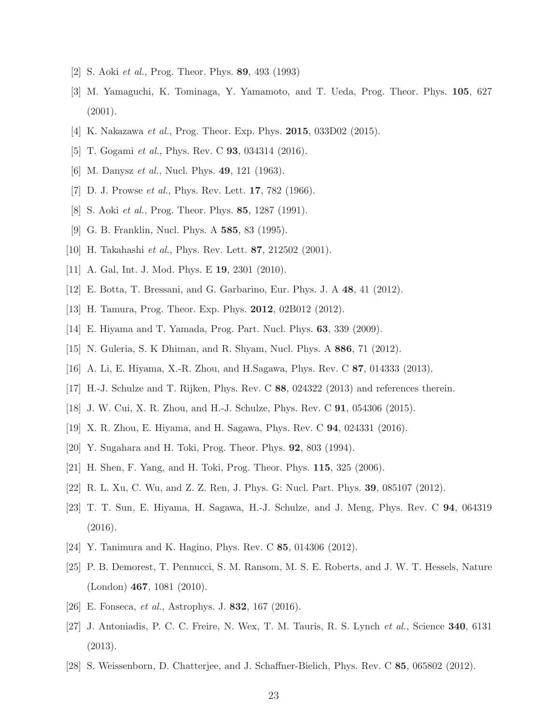- <span id="page-22-0"></span>[2] S. Aoki et al., Prog. Theor. Phys. 89, 493 (1993)
- [3] M. Yamaguchi, K. Tominaga, Y. Yamamoto, and T. Ueda, Prog. Theor. Phys. 105, 627  $(2001).$
- <span id="page-22-1"></span>[4] K. Nakazawa et al., Prog. Theor. Exp. Phys. **2015**, 033D02 (2015).
- <span id="page-22-2"></span>[5] T. Gogami *et al.*, Phys. Rev. C **93**, 034314 (2016).
- [6] M. Danysz *et al.*, Nucl. Phys. **49**, 121 (1963).
- [7] D. J. Prowse *et al.*, Phys. Rev. Lett. **17**, 782 (1966).
- [8] S. Aoki et al., Prog. Theor. Phys. 85, 1287 (1991).
- [9] G. B. Franklin, Nucl. Phys. A 585, 83 (1995).
- [10] H. Takahashi et al., Phys. Rev. Lett. 87, 212502 (2001).
- [11] A. Gal, Int. J. Mod. Phys. E 19, 2301 (2010).
- <span id="page-22-3"></span>[12] E. Botta, T. Bressani, and G. Garbarino, Eur. Phys. J. A 48, 41 (2012).
- <span id="page-22-4"></span>[13] H. Tamura, Prog. Theor. Exp. Phys. **2012**, 02B012 (2012).
- <span id="page-22-5"></span>[14] E. Hiyama and T. Yamada, Prog. Part. Nucl. Phys. 63, 339 (2009).
- [15] N. Guleria, S. K Dhiman, and R. Shyam, Nucl. Phys. A 886, 71 (2012).
- [16] A. Li, E. Hiyama, X.-R. Zhou, and H.Sagawa, Phys. Rev. C 87, 014333 (2013).
- [17] H.-J. Schulze and T. Rijken, Phys. Rev. C 88, 024322 (2013) and references therein.
- [18] J. W. Cui, X. R. Zhou, and H.-J. Schulze, Phys. Rev. C 91, 054306 (2015).
- <span id="page-22-6"></span>[19] X. R. Zhou, E. Hiyama, and H. Sagawa, Phys. Rev. C 94, 024331 (2016).
- <span id="page-22-7"></span>[20] Y. Sugahara and H. Toki, Prog. Theor. Phys. 92, 803 (1994).
- <span id="page-22-13"></span>[21] H. Shen, F. Yang, and H. Toki, Prog. Theor. Phys. 115, 325 (2006).
- [22] R. L. Xu, C. Wu, and Z. Z. Ren, J. Phys. G: Nucl. Part. Phys. 39, 085107 (2012).
- <span id="page-22-8"></span>[23] T. T. Sun, E. Hiyama, H. Sagawa, H.-J. Schulze, and J. Meng, Phys. Rev. C 94, 064319 (2016).
- <span id="page-22-9"></span>[24] Y. Tanimura and K. Hagino, Phys. Rev. C 85, 014306 (2012).
- <span id="page-22-10"></span>[25] P. B. Demorest, T. Pennucci, S. M. Ransom, M. S. E. Roberts, and J. W. T. Hessels, Nature (London) 467, 1081 (2010).
- <span id="page-22-14"></span>[26] E. Fonseca, et al., Astrophys. J. 832, 167 (2016).
- <span id="page-22-11"></span>[27] J. Antoniadis, P. C. C. Freire, N. Wex, T. M. Tauris, R. S. Lynch et al., Science 340, 6131 (2013).
- <span id="page-22-12"></span>[28] S. Weissenborn, D. Chatterjee, and J. Schaffner-Bielich, Phys. Rev. C 85, 065802 (2012).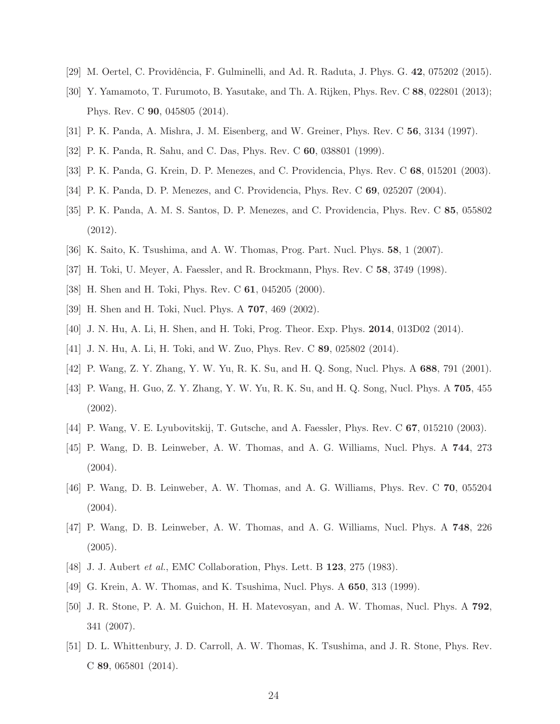- <span id="page-23-1"></span><span id="page-23-0"></span>[29] M. Oertel, C. Providência, F. Gulminelli, and Ad. R. Raduta, J. Phys. G. 42, 075202 (2015).
- [30] Y. Yamamoto, T. Furumoto, B. Yasutake, and Th. A. Rijken, Phys. Rev. C 88, 022801 (2013); Phys. Rev. C 90, 045805 (2014).
- <span id="page-23-2"></span>[31] P. K. Panda, A. Mishra, J. M. Eisenberg, and W. Greiner, Phys. Rev. C 56, 3134 (1997).
- [32] P. K. Panda, R. Sahu, and C. Das, Phys. Rev. C 60, 038801 (1999).
- [33] P. K. Panda, G. Krein, D. P. Menezes, and C. Providencia, Phys. Rev. C 68, 015201 (2003).
- [34] P. K. Panda, D. P. Menezes, and C. Providencia, Phys. Rev. C 69, 025207 (2004).
- [35] P. K. Panda, A. M. S. Santos, D. P. Menezes, and C. Providencia, Phys. Rev. C 85, 055802 (2012).
- <span id="page-23-4"></span><span id="page-23-3"></span>[36] K. Saito, K. Tsushima, and A. W. Thomas, Prog. Part. Nucl. Phys. 58, 1 (2007).
- [37] H. Toki, U. Meyer, A. Faessler, and R. Brockmann, Phys. Rev. C 58, 3749 (1998).
- [38] H. Shen and H. Toki, Phys. Rev. C 61, 045205 (2000).
- <span id="page-23-9"></span>[39] H. Shen and H. Toki, Nucl. Phys. A 707, 469 (2002).
- <span id="page-23-10"></span>[40] J. N. Hu, A. Li, H. Shen, and H. Toki, Prog. Theor. Exp. Phys. 2014, 013D02 (2014).
- [41] J. N. Hu, A. Li, H. Toki, and W. Zuo, Phys. Rev. C 89, 025802 (2014).
- [42] P. Wang, Z. Y. Zhang, Y. W. Yu, R. K. Su, and H. Q. Song, Nucl. Phys. A 688, 791 (2001).
- [43] P. Wang, H. Guo, Z. Y. Zhang, Y. W. Yu, R. K. Su, and H. Q. Song, Nucl. Phys. A 705, 455 (2002).
- [44] P. Wang, V. E. Lyubovitskij, T. Gutsche, and A. Faessler, Phys. Rev. C 67, 015210 (2003).
- [45] P. Wang, D. B. Leinweber, A. W. Thomas, and A. G. Williams, Nucl. Phys. A 744, 273  $(2004).$
- [46] P. Wang, D. B. Leinweber, A. W. Thomas, and A. G. Williams, Phys. Rev. C 70, 055204 (2004).
- <span id="page-23-5"></span>[47] P. Wang, D. B. Leinweber, A. W. Thomas, and A. G. Williams, Nucl. Phys. A 748, 226 (2005).
- <span id="page-23-6"></span>[48] J. J. Aubert *et al.*, EMC Collaboration, Phys. Lett. B **123**, 275 (1983).
- <span id="page-23-7"></span>[49] G. Krein, A. W. Thomas, and K. Tsushima, Nucl. Phys. A 650, 313 (1999).
- [50] J. R. Stone, P. A. M. Guichon, H. H. Matevosyan, and A. W. Thomas, Nucl. Phys. A 792, 341 (2007).
- <span id="page-23-8"></span>[51] D. L. Whittenbury, J. D. Carroll, A. W. Thomas, K. Tsushima, and J. R. Stone, Phys. Rev. C 89, 065801 (2014).